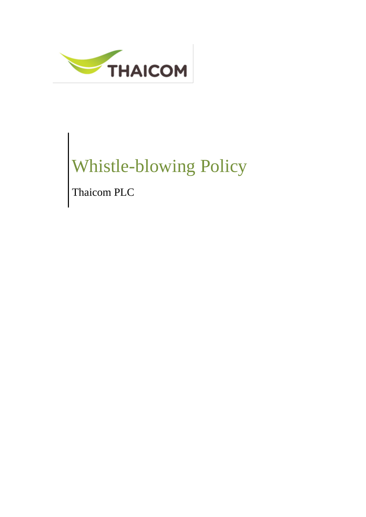

# Whistle-blowing Policy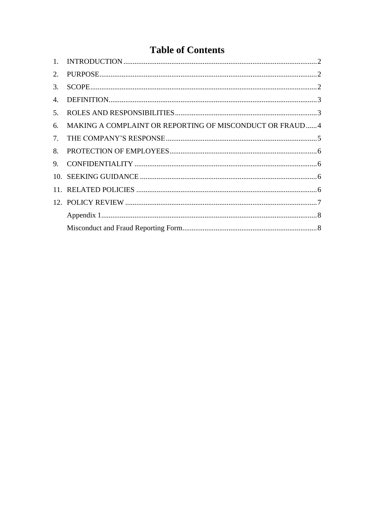## **Table of Contents**

| 3.             |                                                         |  |
|----------------|---------------------------------------------------------|--|
| 4.             |                                                         |  |
| 5 <sub>1</sub> |                                                         |  |
| 6.             | MAKING A COMPLAINT OR REPORTING OF MISCONDUCT OR FRAUD4 |  |
| 7.             |                                                         |  |
| 8.             |                                                         |  |
| 9.             |                                                         |  |
|                |                                                         |  |
|                |                                                         |  |
|                |                                                         |  |
|                |                                                         |  |
|                |                                                         |  |
|                |                                                         |  |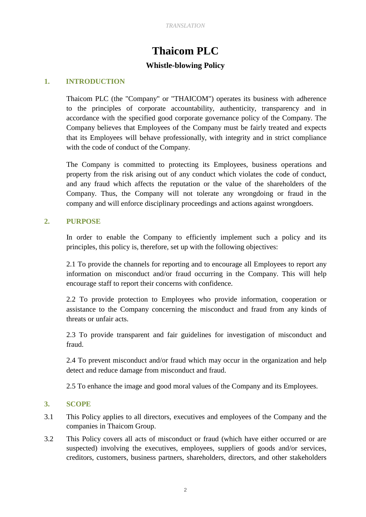# **Thaicom PLC**

### **Whistle-blowing Policy**

### <span id="page-2-0"></span>**1. INTRODUCTION**

Thaicom PLC (the "Company" or "THAICOM") operates its business with adherence to the principles of corporate accountability, authenticity, transparency and in accordance with the specified good corporate governance policy of the Company. The Company believes that Employees of the Company must be fairly treated and expects that its Employees will behave professionally, with integrity and in strict compliance with the code of conduct of the Company.

The Company is committed to protecting its Employees, business operations and property from the risk arising out of any conduct which violates the code of conduct, and any fraud which affects the reputation or the value of the shareholders of the Company. Thus, the Company will not tolerate any wrongdoing or fraud in the company and will enforce disciplinary proceedings and actions against wrongdoers.

### <span id="page-2-1"></span>**2. PURPOSE**

In order to enable the Company to efficiently implement such a policy and its principles, this policy is, therefore, set up with the following objectives:

2.1 To provide the channels for reporting and to encourage all Employees to report any information on misconduct and/or fraud occurring in the Company. This will help encourage staff to report their concerns with confidence.

2.2 To provide protection to Employees who provide information, cooperation or assistance to the Company concerning the misconduct and fraud from any kinds of threats or unfair acts.

2.3 To provide transparent and fair guidelines for investigation of misconduct and fraud.

2.4 To prevent misconduct and/or fraud which may occur in the organization and help detect and reduce damage from misconduct and fraud.

2.5 To enhance the image and good moral values of the Company and its Employees.

### <span id="page-2-2"></span>**3. SCOPE**

- 3.1 This Policy applies to all directors, executives and employees of the Company and the companies in Thaicom Group.
- 3.2 This Policy covers all acts of misconduct or fraud (which have either occurred or are suspected) involving the executives, employees, suppliers of goods and/or services, creditors, customers, business partners, shareholders, directors, and other stakeholders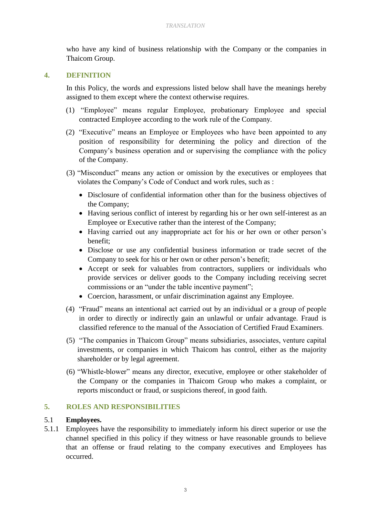who have any kind of business relationship with the Company or the companies in Thaicom Group.

### <span id="page-3-0"></span>**4. DEFINITION**

In this Policy, the words and expressions listed below shall have the meanings hereby assigned to them except where the context otherwise requires.

- (1) "Employee" means regular Employee, probationary Employee and special contracted Employee according to the work rule of the Company.
- (2) "Executive" means an Employee or Employees who have been appointed to any position of responsibility for determining the policy and direction of the Company's business operation and or supervising the compliance with the policy of the Company.
- (3) "Misconduct" means any action or omission by the executives or employees that violates the Company's Code of Conduct and work rules, such as :
	- Disclosure of confidential information other than for the business objectives of the Company;
	- Having serious conflict of interest by regarding his or her own self-interest as an Employee or Executive rather than the interest of the Company;
	- Having carried out any inappropriate act for his or her own or other person's benefit;
	- Disclose or use any confidential business information or trade secret of the Company to seek for his or her own or other person's benefit;
	- Accept or seek for valuables from contractors, suppliers or individuals who provide services or deliver goods to the Company including receiving secret commissions or an "under the table incentive payment";
	- Coercion, harassment, or unfair discrimination against any Employee.
- (4) "Fraud" means an intentional act carried out by an individual or a group of people in order to directly or indirectly gain an unlawful or unfair advantage. Fraud is classified reference to the manual of the Association of Certified Fraud Examiners.
- (5) "The companies in Thaicom Group" means subsidiaries, associates, venture capital investments, or companies in which Thaicom has control, either as the majority shareholder or by legal agreement.
- (6) "Whistle-blower" means any director, executive, employee or other stakeholder of the Company or the companies in Thaicom Group who makes a complaint, or reports misconduct or fraud, or suspicions thereof, in good faith*.*

### <span id="page-3-1"></span>**5. ROLES AND RESPONSIBILITIES**

### 5.1 **Employees.**

5.1.1 Employees have the responsibility to immediately inform his direct superior or use the channel specified in this policy if they witness or have reasonable grounds to believe that an offense or fraud relating to the company executives and Employees has occurred.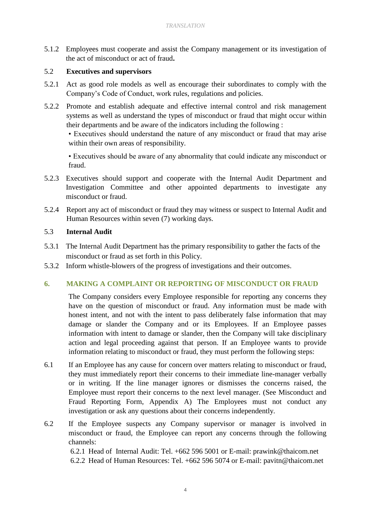5.1.2 Employees must cooperate and assist the Company management or its investigation of the act of misconduct or act of fraud**.**

### 5.2 **Executives and supervisors**

- 5.2.1 Act as good role models as well as encourage their subordinates to comply with the Company's Code of Conduct, work rules, regulations and policies.
- 5.2.2 Promote and establish adequate and effective internal control and risk management systems as well as understand the types of misconduct or fraud that might occur within their departments and be aware of the indicators including the following :

• Executives should understand the nature of any misconduct or fraud that may arise within their own areas of responsibility.

• Executives should be aware of any abnormality that could indicate any misconduct or fraud.

- 5.2.3 Executives should support and cooperate with the Internal Audit Department and Investigation Committee and other appointed departments to investigate any misconduct or fraud.
- 5.2.4 Report any act of misconduct or fraud they may witness or suspect to Internal Audit and Human Resources within seven (7) working days.

### 5.3 **Internal Audit**

- 5.3.1 The Internal Audit Department has the primary responsibility to gather the facts of the misconduct or fraud as set forth in this Policy.
- 5.3.2 Inform whistle-blowers of the progress of investigations and their outcomes.

### <span id="page-4-0"></span>**6. MAKING A COMPLAINT OR REPORTING OF MISCONDUCT OR FRAUD**

The Company considers every Employee responsible for reporting any concerns they have on the question of misconduct or fraud. Any information must be made with honest intent, and not with the intent to pass deliberately false information that may damage or slander the Company and or its Employees. If an Employee passes information with intent to damage or slander, then the Company will take disciplinary action and legal proceeding against that person. If an Employee wants to provide information relating to misconduct or fraud, they must perform the following steps:

- 6.1 If an Employee has any cause for concern over matters relating to misconduct or fraud, they must immediately report their concerns to their immediate line-manager verbally or in writing. If the line manager ignores or dismisses the concerns raised, the Employee must report their concerns to the next level manager. (See Misconduct and Fraud Reporting Form, Appendix A) The Employees must not conduct any investigation or ask any questions about their concerns independently.
- 6.2 If the Employee suspects any Company supervisor or manager is involved in misconduct or fraud, the Employee can report any concerns through the following channels:

6.2.1 Head of Internal Audit: Tel. +662 596 5001 or E-mail: prawink@thaicom.net 6.2.2 Head of Human Resources: Tel. +662 596 5074 or E-mail: pavitn@thaicom.net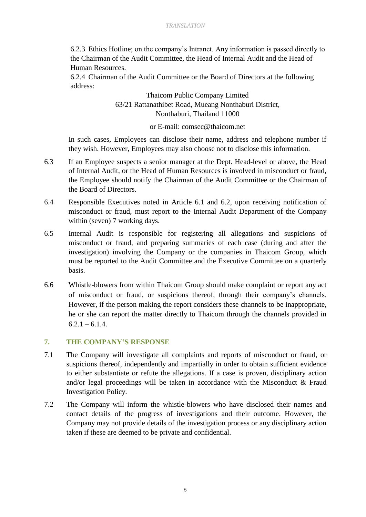6.2.3 Ethics Hotline; on the company's Intranet. Any information is passed directly to the Chairman of the Audit Committee, the Head of Internal Audit and the Head of Human Resources.

6.2.4 Chairman of the Audit Committee or the Board of Directors at the following address:

> Thaicom Public Company Limited 63/21 Rattanathibet Road, Mueang Nonthaburi District, Nonthaburi, Thailand 11000

> > or E-mail: comsec@thaicom.net

In such cases, Employees can disclose their name, address and telephone number if they wish. However, Employees may also choose not to disclose this information.

- 6.3 If an Employee suspects a senior manager at the Dept. Head-level or above, the Head of Internal Audit, or the Head of Human Resources is involved in misconduct or fraud, the Employee should notify the Chairman of the Audit Committee or the Chairman of the Board of Directors.
- 6.4 Responsible Executives noted in Article 6.1 and 6.2, upon receiving notification of misconduct or fraud, must report to the Internal Audit Department of the Company within (seven) 7 working days.
- 6.5 Internal Audit is responsible for registering all allegations and suspicions of misconduct or fraud, and preparing summaries of each case (during and after the investigation) involving the Company or the companies in Thaicom Group, which must be reported to the Audit Committee and the Executive Committee on a quarterly basis.
- 6.6 Whistle-blowers from within Thaicom Group should make complaint or report any act of misconduct or fraud, or suspicions thereof, through their company's channels. However, if the person making the report considers these channels to be inappropriate, he or she can report the matter directly to Thaicom through the channels provided in  $6.2.1 - 6.1.4.$

### <span id="page-5-0"></span>**7. THE COMPANY'S RESPONSE**

- 7.1 The Company will investigate all complaints and reports of misconduct or fraud, or suspicions thereof, independently and impartially in order to obtain sufficient evidence to either substantiate or refute the allegations. If a case is proven, disciplinary action and/or legal proceedings will be taken in accordance with the Misconduct & Fraud Investigation Policy.
- 7.2 The Company will inform the whistle-blowers who have disclosed their names and contact details of the progress of investigations and their outcome. However, the Company may not provide details of the investigation process or any disciplinary action taken if these are deemed to be private and confidential.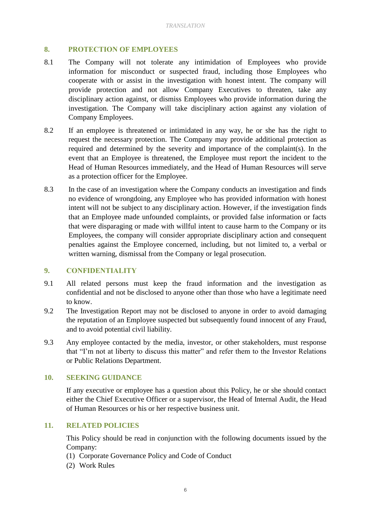### <span id="page-6-0"></span>**8. PROTECTION OF EMPLOYEES**

- 8.1 The Company will not tolerate any intimidation of Employees who provide information for misconduct or suspected fraud, including those Employees who cooperate with or assist in the investigation with honest intent. The company will provide protection and not allow Company Executives to threaten, take any disciplinary action against, or dismiss Employees who provide information during the investigation. The Company will take disciplinary action against any violation of Company Employees.
- 8.2 If an employee is threatened or intimidated in any way, he or she has the right to request the necessary protection. The Company may provide additional protection as required and determined by the severity and importance of the complaint(s). In the event that an Employee is threatened, the Employee must report the incident to the Head of Human Resources immediately, and the Head of Human Resources will serve as a protection officer for the Employee.
- 8.3 In the case of an investigation where the Company conducts an investigation and finds no evidence of wrongdoing, any Employee who has provided information with honest intent will not be subject to any disciplinary action. However, if the investigation finds that an Employee made unfounded complaints, or provided false information or facts that were disparaging or made with willful intent to cause harm to the Company or its Employees, the company will consider appropriate disciplinary action and consequent penalties against the Employee concerned, including, but not limited to, a verbal or written warning, dismissal from the Company or legal prosecution.

### <span id="page-6-1"></span>**9. CONFIDENTIALITY**

- 9.1 All related persons must keep the fraud information and the investigation as confidential and not be disclosed to anyone other than those who have a legitimate need to know.
- 9.2 The Investigation Report may not be disclosed to anyone in order to avoid damaging the reputation of an Employee suspected but subsequently found innocent of any Fraud, and to avoid potential civil liability.
- 9.3 Any employee contacted by the media, investor, or other stakeholders, must response that "I'm not at liberty to discuss this matter" and refer them to the Investor Relations or Public Relations Department.

### <span id="page-6-2"></span>**10. SEEKING GUIDANCE**

If any executive or employee has a question about this Policy, he or she should contact either the Chief Executive Officer or a supervisor, the Head of Internal Audit, the Head of Human Resources or his or her respective business unit.

### <span id="page-6-3"></span>**11. RELATED POLICIES**

This Policy should be read in conjunction with the following documents issued by the Company:

- (1) Corporate Governance Policy and Code of Conduct
- (2) Work Rules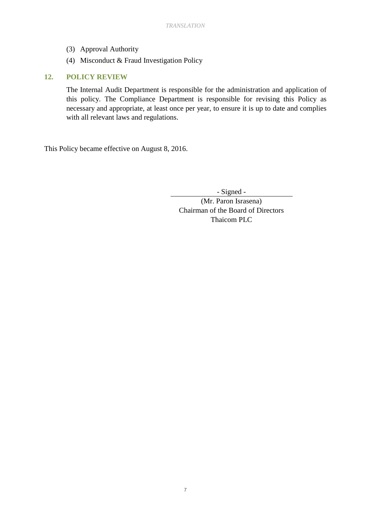- (3) Approval Authority
- (4) Misconduct & Fraud Investigation Policy

### <span id="page-7-0"></span>**12. POLICY REVIEW**

The Internal Audit Department is responsible for the administration and application of this policy. The Compliance Department is responsible for revising this Policy as necessary and appropriate, at least once per year, to ensure it is up to date and complies with all relevant laws and regulations.

This Policy became effective on August 8, 2016.

- Signed -

(Mr. Paron Israsena) Chairman of the Board of Directors Thaicom PLC